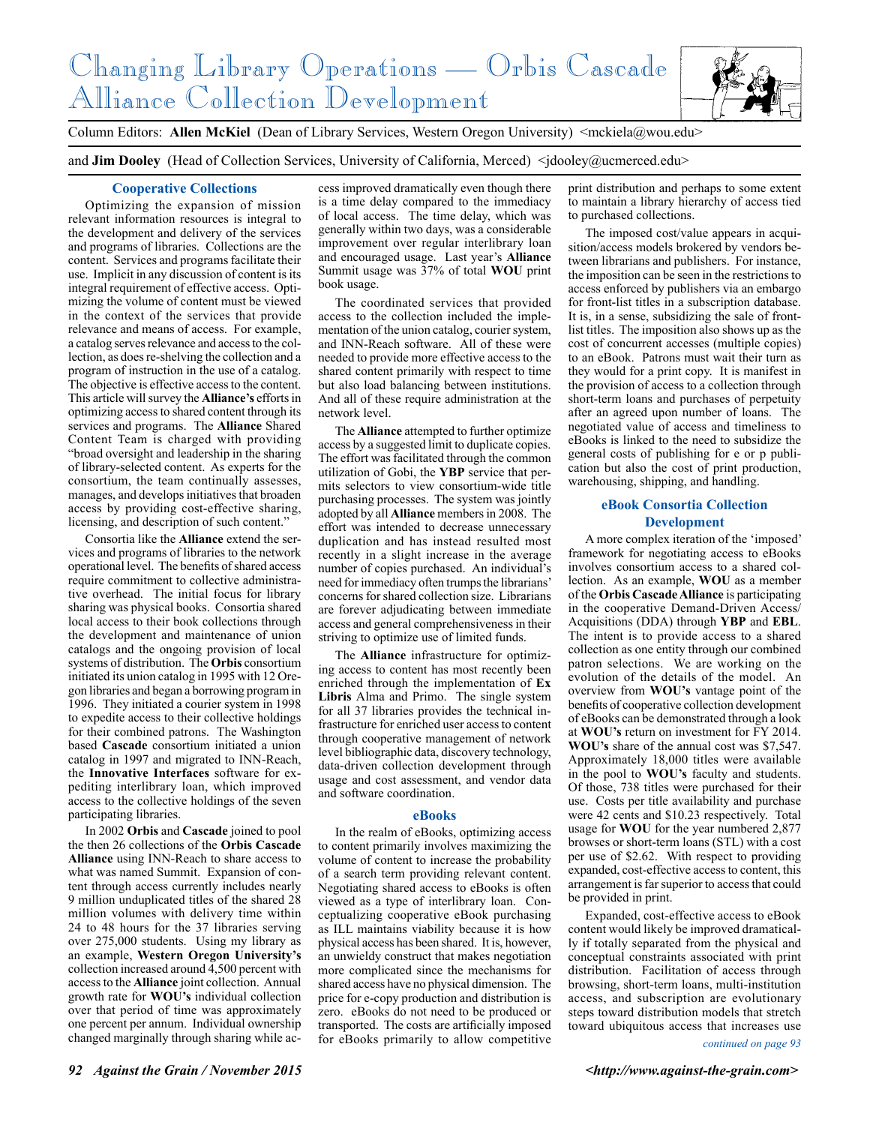# Changing Library Operations — Orbis Cascade Alliance Collection Development



Column Editors: **Allen McKiel** (Dean of Library Services, Western Oregon University) <mckiela@wou.edu>

and **Jim Dooley** (Head of Collection Services, University of California, Merced) <idooley@ucmerced.edu>

## **Cooperative Collections**

Optimizing the expansion of mission relevant information resources is integral to the development and delivery of the services and programs of libraries. Collections are the content. Services and programs facilitate their use. Implicit in any discussion of content is its integral requirement of effective access. Optimizing the volume of content must be viewed in the context of the services that provide relevance and means of access. For example, a catalog serves relevance and access to the collection, as does re-shelving the collection and a program of instruction in the use of a catalog. The objective is effective access to the content. This article will survey the **Alliance's** efforts in optimizing access to shared content through its services and programs. The **Alliance** Shared Content Team is charged with providing "broad oversight and leadership in the sharing of library-selected content. As experts for the consortium, the team continually assesses, manages, and develops initiatives that broaden access by providing cost-effective sharing, licensing, and description of such content."

Consortia like the **Alliance** extend the services and programs of libraries to the network operational level. The benefits of shared access require commitment to collective administrative overhead. The initial focus for library sharing was physical books. Consortia shared local access to their book collections through the development and maintenance of union catalogs and the ongoing provision of local systems of distribution. The **Orbis** consortium initiated its union catalog in 1995 with 12 Oregon libraries and began a borrowing program in 1996. They initiated a courier system in 1998 to expedite access to their collective holdings for their combined patrons. The Washington based **Cascade** consortium initiated a union catalog in 1997 and migrated to INN-Reach, the **Innovative Interfaces** software for expediting interlibrary loan, which improved access to the collective holdings of the seven participating libraries.

In 2002 **Orbis** and **Cascade** joined to pool the then 26 collections of the **Orbis Cascade Alliance** using INN-Reach to share access to what was named Summit. Expansion of content through access currently includes nearly 9 million unduplicated titles of the shared 28 million volumes with delivery time within 24 to 48 hours for the 37 libraries serving over 275,000 students. Using my library as an example, **Western Oregon University's** collection increased around  $\overline{4,}500$  percent with access to the **Alliance** joint collection. Annual growth rate for **WOU's** individual collection over that period of time was approximately one percent per annum. Individual ownership changed marginally through sharing while access improved dramatically even though there is a time delay compared to the immediacy of local access. The time delay, which was generally within two days, was a considerable improvement over regular interlibrary loan and encouraged usage. Last year's **Alliance** Summit usage was 37% of total **WOU** print book usage.

The coordinated services that provided access to the collection included the implementation of the union catalog, courier system, and INN-Reach software. All of these were needed to provide more effective access to the shared content primarily with respect to time but also load balancing between institutions. And all of these require administration at the network level.

The **Alliance** attempted to further optimize access by a suggested limit to duplicate copies. The effort was facilitated through the common utilization of Gobi, the **YBP** service that permits selectors to view consortium-wide title purchasing processes. The system was jointly adopted by all **Alliance** members in 2008. The effort was intended to decrease unnecessary duplication and has instead resulted most recently in a slight increase in the average number of copies purchased. An individual's need for immediacy often trumps the librarians' concerns for shared collection size. Librarians are forever adjudicating between immediate access and general comprehensiveness in their striving to optimize use of limited funds.

The **Alliance** infrastructure for optimizing access to content has most recently been enriched through the implementation of **Ex Libris** Alma and Primo. The single system for all 37 libraries provides the technical infrastructure for enriched user access to content through cooperative management of network level bibliographic data, discovery technology, data-driven collection development through usage and cost assessment, and vendor data and software coordination.

#### **eBooks**

In the realm of eBooks, optimizing access to content primarily involves maximizing the volume of content to increase the probability of a search term providing relevant content. Negotiating shared access to eBooks is often viewed as a type of interlibrary loan. Conceptualizing cooperative eBook purchasing as ILL maintains viability because it is how physical access has been shared. It is, however, an unwieldy construct that makes negotiation more complicated since the mechanisms for shared access have no physical dimension. The price for e-copy production and distribution is zero. eBooks do not need to be produced or transported. The costs are artificially imposed for eBooks primarily to allow competitive

print distribution and perhaps to some extent to maintain a library hierarchy of access tied to purchased collections.

The imposed cost/value appears in acquisition/access models brokered by vendors between librarians and publishers. For instance, the imposition can be seen in the restrictions to access enforced by publishers via an embargo for front-list titles in a subscription database. It is, in a sense, subsidizing the sale of frontlist titles. The imposition also shows up as the cost of concurrent accesses (multiple copies) to an eBook. Patrons must wait their turn as they would for a print copy. It is manifest in the provision of access to a collection through short-term loans and purchases of perpetuity after an agreed upon number of loans. The negotiated value of access and timeliness to eBooks is linked to the need to subsidize the general costs of publishing for e or p publication but also the cost of print production, warehousing, shipping, and handling.

## **eBook Consortia Collection Development**

A more complex iteration of the 'imposed' framework for negotiating access to eBooks involves consortium access to a shared collection. As an example, **WOU** as a member of the **Orbis Cascade Alliance** is participating in the cooperative Demand-Driven Access/ Acquisitions (DDA) through **YBP** and **EBL**. The intent is to provide access to a shared collection as one entity through our combined patron selections. We are working on the evolution of the details of the model. An overview from **WOU's** vantage point of the benefits of cooperative collection development of eBooks can be demonstrated through a look at **WOU's** return on investment for FY 2014. **WOU's** share of the annual cost was \$7,547. Approximately 18,000 titles were available in the pool to **WOU's** faculty and students. Of those, 738 titles were purchased for their use. Costs per title availability and purchase were 42 cents and \$10.23 respectively. Total usage for **WOU** for the year numbered 2,877 browses or short-term loans (STL) with a cost per use of \$2.62. With respect to providing expanded, cost-effective access to content, this arrangement is far superior to access that could be provided in print.

Expanded, cost-effective access to eBook content would likely be improved dramatically if totally separated from the physical and conceptual constraints associated with print distribution. Facilitation of access through browsing, short-term loans, multi-institution access, and subscription are evolutionary steps toward distribution models that stretch toward ubiquitous access that increases use